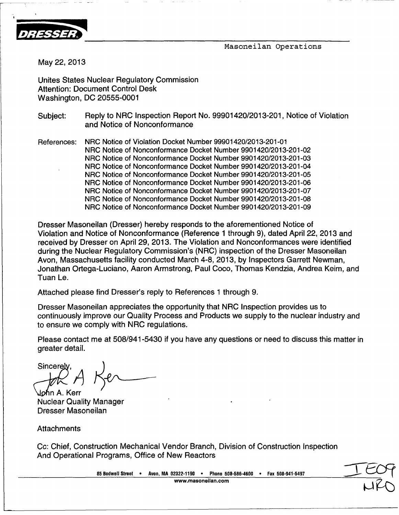

Masoneilan Operations

May 22, 2013

Unites States Nuclear Regulatory Commission Attention: Document Control Desk Washington, DC 20555-0001

Subject: Reply to NRC Inspection Report No. 99901420/2013-201, Notice of Violation and Notice of Nonconformance

References: NRC Notice of Violation Docket Number 99901420/2013-201-01 NRC Notice of Nonconformance Docket Number 9901420/2013-201-02 NRC Notice of Nonconformance Docket Number 9901420/2013-201-03 NRC Notice of Nonconformance Docket Number 9901420/2013-201-04 NRC Notice of Nonconformance Docket Number 9901420/2013-201-05 NRC Notice of Nonconformance Docket Number 9901420/2013-201-06 NRC Notice of Nonconformance Docket Number 9901420/2013-201-07 NRC Notice of Nonconformance Docket Number 9901420/2013-201-08 NRC Notice of Nonconformance Docket Number 9901420/2013-201-09

Dresser Masoneilan (Dresser) hereby responds to the aforementioned Notice of Violation and Notice of Nonconformance (Reference 1 through 9), dated April 22, 2013 and received by Dresser on April 29, 2013. The Violation and Nonconformances were identified during the Nuclear Regulatory Commission's (NRC) inspection of the Dresser Masoneilan Avon, Massachusetts facility conducted March 4-8, 2013, by Inspectors Garrett Newman, Jonathan Ortega-Luciano, Aaron Armstrong, Paul Coco, Thomas Kendzia, Andrea Keim, and Tuan Le.

Attached please find Dresser's reply to References 1 through 9.

Dresser Masoneilan appreciates the opportunity that NRC Inspection provides us to continuously improve our Quality Process and Products we supply to the nuclear industry and to ensure we comply with NRC regulations.

Please contact me at 508/941-5430 if you have any questions or need to discuss this matter in greater detail.

Sincerely  $\begin{array}{ccc} \hline \end{array}$ **Iohn A. Kerr** 

Nuclear Quality Manager Dresser Masoneilan

**Attachments** 

Cc: Chief, Construction Mechanical Vendor Branch, Division of Construction Inspection And Operational Programs, Office of New Reactors

**85** Bodwell Street **\*** Avon, MA **02322-1190** \* Phone **508-586-4600 \*** Fax 508-941-5497 www.masoneilan.com

**I**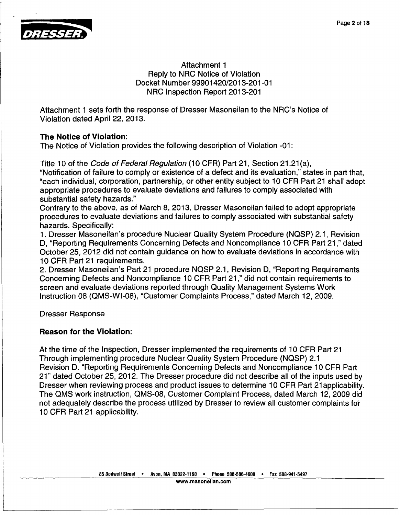

#### Attachment 1 Reply to NRC Notice of Violation Docket Number 99901420/2013-201-01 NRC Inspection Report 2013-201

Attachment 1 sets forth the response of Dresser Masoneilan to the NRC's Notice of Violation dated April 22, 2013

### The Notice of V iolation:

The Notice of Violation provides the following description of Violation -01

Title 10 of the C *ode of Federal Regulation* (10 CFR) Part 21, Section 21.21 (a),

"Notification of failure to comply or existence of a defect and its evaluation," states in part that<br>"each individual, corporation, partnership, or other entity subject to 10 CEB Part 21 shall adopt appropriate proc edures to evaluate deviations and failures to comply associated with substantial safet **y** hazards." "each individual, corporation, partnership, or other entity subject to 10 CFR Part 21 shall adopt

Contrary to the above, as of March 8, 2013, Dresser Masoneilan failed to adopt appropriate<br>
procedures to evaluate deviations and failures to comply associated with substantial safety procedures to evaluate deviations and failures to comply associated with substantial safety hazards. Specifically

1. Dresser Maso neilan's procedure Nuclear Quality System Procedure (NQSP) 2.1, Revision D, "Reporting Requirements Concerning Defects and Noncompliance 10 CFR Part 21," dated October 25, 201 2 did not contain guidance on how to evaluate deviations in accordance with 10 CFR Part 21 requirements

2. Dresser Masoneilan's Part 21 procedure NQSP 2.1, Revision D, "Reporting Requirement Concerning Defects and Noncompliance 10 CFR Part 21," did not contain requirements to screen and evaluate deviations reported through Quality Management Systems Work Instruction 08 (Q MS-WI-08), "Customer Complaints Process," dated March 12, 2009.

Dresser Respons

# Reason for the Violation:

At the time of the Inspection, Dresser implemented the requirements of 10 CFR Part 2 Through implementing procedure Nuclear Quality System Procedure (NQSP) 2. Revision D. "Reporting Requirements Concerning Defects and Noncompliance 10 CFR Part 21" dated October 25, 2012. The Dresser procedure did not describe all of the inputs used b Dresser when reviewing process and product issues to determine 10 CFR Part 21applicability. The QMS work instruction, QMS-08, Customer Complaint Process, dated March 12, 2009 di not adequately describe the process utilized by Dresser to review all customer complaints for adequately describe the process utilized by Dresser to review all customer complaints for 10 CFR Part 21 applicability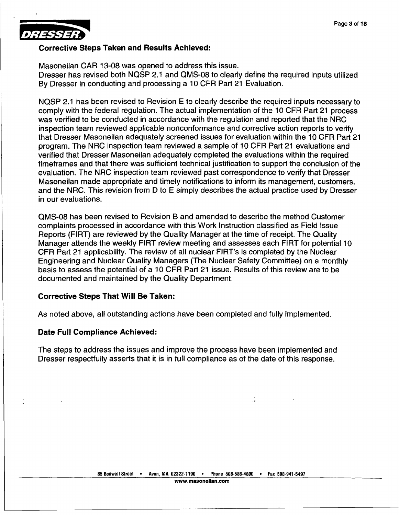

#### Corrective Steps Taken and Results Achieved:

Masoneilan CAR 13-08 was opened to address this issue.

Dresser has revised both NQSP 2.1 and QMS-08 to clearly define the required inputs utilized By Dresser in conducting and processing a 10 CFR Part 21 Evaluation.

NQSP 2.1 has been revised to Revision E to clearly describe the required inputs necessary to comply with the federal regulation. The actual implementation of the 10 CFR Part 21 process was verified to be conducted in accordance with the regulation and reported that the NRC inspection team reviewed applicable nonconformance and corrective action reports to verify that Dresser Masoneilan adequately screened issues for evaluation within the 10 CFR Part 21 program. The NRC inspection team reviewed a sample of 10 CFR Part 21 evaluations and verified that Dresser Masoneilan adequately completed the evaluations within the required timeframes and that there was sufficient technical justification to support the conclusion of the evaluation. The NRC inspection team reviewed past correspondence to verify that Dresser Masoneilan made appropriate and timely notifications to inform its management, customers, and the NRC. This revision from D to E simply describes the actual practice used by Dresser in our evaluations.

QMS-08 has been revised to Revision B and amended to describe the method Customer complaints processed in accordance with this Work Instruction classified as Field Issue Reports (FIRT) are reviewed by the Quality Manager at the time of receipt. The Quality Manager attends the weekly FIRT review meeting and assesses each FIRT for potential 10 CFR Part 21 applicability. The review of all nuclear FIRT's is completed by the Nuclear Engineering and Nuclear Quality Managers (The Nuclear Safety Committee) on a monthly basis to assess the potential of a 10 CFR Part 21 issue. Results of this review are to be documented and maintained by the Quality Department.

### Corrective Steps That Will Be Taken:

As noted above, all outstanding actions have been completed and fully implemented.

#### Date Full Compliance Achieved: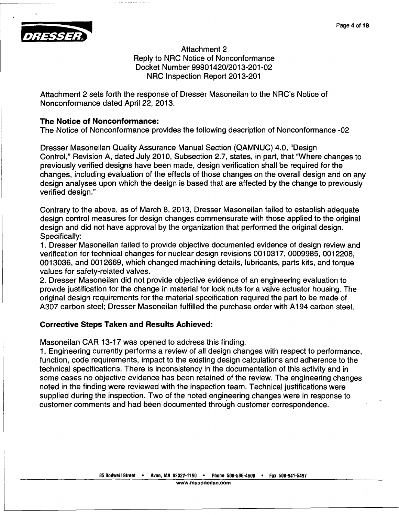

Attachment 2 Reply to NRC Notice of Nonconformance Docket Number 99901420/2013-201-02 NRC Inspection Report 2013-201

Attachment 2 sets forth the response of Dresser Masoneilan to the NRC's Notice of Nonconformance dated April 22, 2013

### The Notice of Nonconformance

The Notice of Nonconformance provides the following description of Nonconformance -02

Dresser Masoneilan Quality Assurance Manual Section (QAMNUC) 4.0, "Design Control," Revisio in A, dated July 2010, Subsection 2.7, states, in part, that "Where changes to previously verified designs have been made, design verification shall be required for the changes, includi ng evaluation of the effects of those changes on the overall design and on any design analyses upon which the design is based that are affected by the change to previously verified design."

Contrary to the above, as of March 8, 2013, Dresser Masoneilan failed to establish adequate design control measures for design changes commensurate with those applied to the original design control design and did not have approval by the organization that performed the original design and did not have approval by the organization that performed the original design Specifically:

speemeally.<br>1. Dresser Masoneilan failed to provide objective documented evidence of design review and verification for technical changes for nuclear design revisions 0010317, 0009985, 0012208 0013036, and **00** )12669, which changed machining details, lubricants, parts kits, and torque values for safety-related valves

values for safely folding valves.<br>2. Dresser Masoneilan did not provide objective evidence of an engineering evaluation to provide justification for the change in material for lock nuts for a valve actuator housing. The provide justification for the change in material for lock nuts for a valve actuator housing. The original design requirements for the material specification required the part to be made of part to be made of A307 carbon ste el; Dresser Masoneilan fulfilled the purchase order with **Al** 94 carbon steel.

# Corrective Steps Taken and Results Achieved

Masoneilan CAR 13-17 was opened to address this finding.

macemental by the contribution of electron calculates and mixing. function, code re quirements, impact to the existing design calculations and adherence to the technical specifications. There is inconsistency in the documentation of this activity and in some cases no objective evidence has been retained of the review. The engineering change noted in the findi ng were reviewed with the inspection team. Technical justifications were supplied during the inspection. Two of the noted engineering changes were in response to supplied during the inspection. Two of the noted engineering changes were in response cupplied dailing the inspection. The or the noted engineering changes were in reck-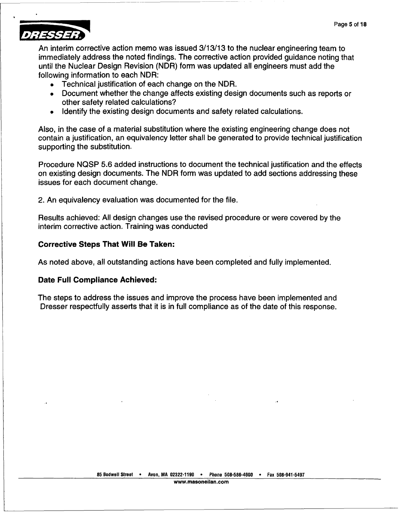

An interim corrective action memo was issued 3/13/13 to the nuclear engineering team to immediately address the noted findings. The corrective action provided guidance noting that until the Nuclear Design Revision (NDR) form was updated all engineers must add the following information to each NDR:

- **"** Technical justification of each change on the NDR.
- Document whether the change affects existing design documents such as reports or other safety related calculations?
- **"** Identify the existing design documents and safety related calculations.

Also, in the case of a material substitution where the existing engineering change does not contain a justification, an equivalency letter shall be generated to provide technical justification supporting the substitution.

Procedure NQSP 5.6 added instructions to document the technical justification and the effects on existing design documents. The NDR form was updated to add sections addressing these issues for each document change.

2. An equivalency evaluation was documented for the file.

Results achieved: All design changes use the revised procedure or were covered by the interim corrective action. Training was conducted

#### Corrective Steps That Will Be Taken:

As noted above, all outstanding actions have been completed and fully implemented.

#### Date Full Compliance Achieved: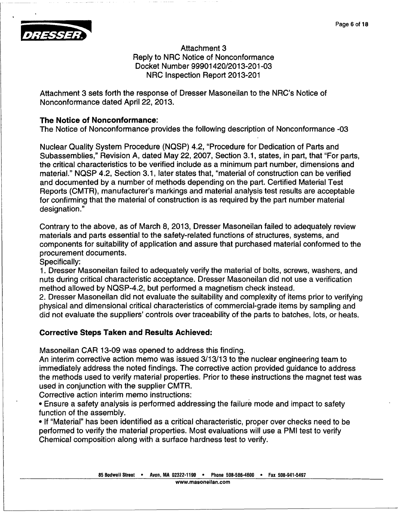

Attachment 3 Reply to NRC Notice of Nonconformance Docket Number 99901420/2013-201-03 NRC Inspection Report 2013-201

Attachment 3 sets forth the response of Dresser Masoneilan to the NRC's Notice of Nonconformance e dated April 22, 2013.

### **The Notice of Nonconformance**

The Notice of Nonconformance provides the following description of Nonconformance -03

Nuclear Quality System Procedure (NQSP) 4.2, "Procedure for Dedication of Parts and Subassemblies," Revision A, dated May 22, 2007, Section 3.1, states, in part, that "For parts the critical characteristics to be verified include as a minimum part number, dimensions and material." NQSP 4.2, Section 3.1, later states that, "material of construction can be verified and documented by a number of methods depending on the part. Certified Material Test Reports (CMTR), manufacturer's markings and material analysis test results are acceptable for confirming that the material of construction is as required by the part number material designation."

Contrary to the a bove, as of March 8, 2013, Dresser Masoneilan failed to adequately review materials and parts essential to the safety-related functions of structures, systems, and components for suitability of application and assure that purchased material conformed to the procurement doc uments.

Specifically:

spoomsang.<br>1. Dresser Masoneilan failed to adequately verify the material of bolts, screws, washers, and nuts during critical characteristic acceptance. Dresser Masoneilan did not use a verificatio method allowed by NQSP-4.2, but performed a magnetism check instead

2. Dresser Masoneilan did not evaluate the suitability and complexity of items prior to verifying physical and dimensional critical characteristics of commercial-grade items by sampling an did not evaluate the suppliers' controls over traceability of the parts to batches, lots, or heats.

# Corrective Step s Taken and Results Achieved:

Masoneilan CAR 13-09 was opened to address this finding.

An interim corrective action memo was issued 3/13/13 to the nuclear engineering team to Furtherm corrective action monet was located of the total monetal crighteeining team to immediately address the noted findings. The corrective action provided quidance to address the methods use d to verify material properties. Prior to these instructions the magnet test was used in conjuncti on with the supplier CMTR.

Corrective action interim memo instructions:

**-** Ensure a safety analysis is performed addressing the failure mode and impact to safety function of the assembly

**If "Material" has been identified as a critical characteristic, proper over checks need to b** performed to veri fy the material properties. Most evaluations will use a PMI test to verify Chemical compo sition along with a surface hardness test to verify.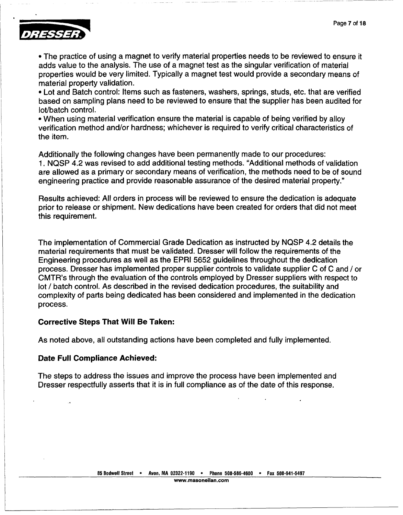

• The practice of using a magnet to verify material properties needs to be reviewed to ensure it adds value to the analysis. The use of a magnet test as the singular verification of material properties would be very limite material property validation.

**9** Lot and Batch control: Items such as fasteners, washers, springs, studs, etc. that are verified based on sampling plans need to be reviewed to ensure that the supplier has been audited for lot/batch control.

**-** When using material verification ensure the material is capable of being verified **by** alloy verification method and/or hardness; whichever is required to verify critical characteristics of the item.

Additionally the following changes have been permanently made to our procedures: **1. NQSP** 4.2 was revised to add additional testing methods. "Additional methods of validation are allowed as a primary or secondary means of verification, the methods need to be of sound engineering practice and provide reasonable assurance of the desired material property."

Results achieved: All orders in process will be reviewed to ensure the dedication is adequate prior to release or shipment. New dedications have been created for orders that did not meet this requirement.

The implementation of Commercial Grade Dedication as instructed **by NQSP** 4.2 details the material requirements that must be validated. Dresser will follow the requirements of the Engineering procedures as well as the EPRI **5652** guidelines throughout the dedication process. Dresser has implemented proper supplier controls to validate supplier **<sup>C</sup>**of **C** and **/** or CMTR's through the evaluation of the controls employed **by** Dresser suppliers with respect to lot **/** batch control. As described in the revised dedication procedures, the suitability and complexity of parts being dedicated has been considered and implemented in the dedication process.

#### Corrective Steps That Will Be Taken:

As noted above, all outstanding actions have been completed and fully implemented.

#### Date Full Compliance Achieved: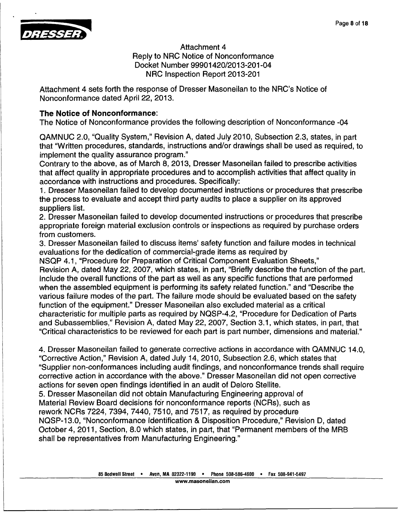

Attachment 4 Reply to NRC Notice of Nonconformance Docket Number 99901420/2013-201-04 NRC Inspection Report 2013-201

Attachment 4 sets forth the response of Dresser Masoneilan to the NRC's Notice of Nonconformance dated April 22, 2013

## The Notice of Nonconformance

The Notice of Nonconformance provides the following description of Nonconformance -04

QAMNUC 2.0, "Quality System," Revision A, dated July 2010, Subsection 2.3, states, in part that "Written procedures, standards, instructions and/or drawings shall be used as required, to implement the quality assurance program.

Contrary to the a bove, as of March 8, 2013, Dresser Masoneilan failed to prescribe activities that affect quality in appropriate procedures and to accomplish activities that affect quality in accordance with instructions and procedures. Specifically

1. Dresser Maso neilan failed to develop documented instructions or procedures that prescribe the process to evaluate and accept third party audits to place a supplier on its approved suppliers list.

2. Dresser Maso neilan failed to develop documented instructions or procedures that prescribe appropriate foreign material exclusion controls or inspections as required by purchase orders from customers.

nem cactemere.<br>3. Dresser Masoneilan failed to discuss items' safety function and failure modes in technica evaluations for the dedication of commercial-grade items as required by

NSQP 4.1, "Proc edure for Preparation of Critical Component Evaluation Sheets," Revision A, dated May 22, 2007, which states, in part, "Briefly describe the function of the part Include the overall functions of the part as well as any specific functions that are performe when the assembled equipment is performing its safety related function." and "Describe the various failure m odes of the part. The failure mode should be evaluated based on the safety function of the equipment." Dresser Masoneilan also excluded material as a critical characteristic for multiple parts as required by NQSP-4.2, "Procedure for Dedication of Parts and Subassembl ies," Revision A, dated May 22, 2007, Section 3.1, which states, in part, that "Critical characte ristics to be reviewed for each part is part number, dimensions and material."

4. Dresser Masoneilan failed to generate corrective actions in accordance with QAMNUC 14.0 "Corrective Actio n," Revision A, dated July 14, 2010, Subsection 2.6, which states that "Supplier non-conformances including audit findings, and nonconformance trends shall require corrective action in accordance with the above." Dresser Masoneilan did not open corrective actions for seven open findings identified in an audit of Deloro Stellite.

5. Dresser Masor neilan did not obtain Manufacturing Engineering approval of Material Review Board decisions for nonconformance reports (NCRs), such a

rework NCRs 7224, 7394, 7440, 7510, and 7517, as required by procedure

NOSP-13.0, "Nonconformance Identification & Disposition Procedure," Revision D, date October 4, 2011, Section, 8.0 which states, in part, that "Permanent members of the MR shall be representatives from Manufacturing Engineering.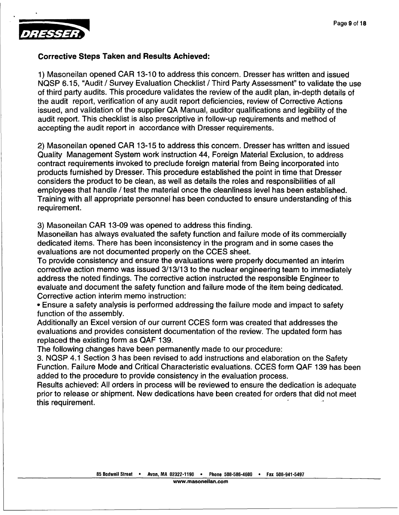

#### Corrective Steps Taken and Results Achieved:

1) Masoneilan opened CAR 13-10 to address this concern. Dresser has written and issued NQSP 6.15, "Audit / Survey Evaluation Checklist / Third Party Assessment" to validate the use of third party audits. This procedure validates the review of the audit plan, in-depth details of the audit report, verification of any audit report deficiencies, review of Corrective Actions issued, and validation of the supplier QA Manual, auditor qualifications and legibility of the audit report. This checklist is also prescriptive in follow-up requirements and method of accepting the audit report in accordance with Dresser requirements.

2) Masoneilan opened CAR 13-15 to address this concern. Dresser has written and issued Quality Management System work instruction 44, Foreign Material Exclusion, to address contract requirements invoked to preclude foreign material from Being incorporated into products furnished by Dresser. This procedure established the point in time that Dresser considers the product to be clean, as well as details the roles and responsibilities of all employees that handle / test the material once the cleanliness level has been established. Training with all appropriate personnel has been conducted to ensure understanding of this requirement.

3) Masoneilan CAR 13-09 was opened to address this finding.

Masoneilan has always evaluated the safety function and failure mode of its commercially dedicated items. There has been inconsistency in the program and in some cases the evaluations are not documented properly on the CCES sheet.

To provide consistency and ensure the evaluations were properly documented an interim corrective action memo was issued 3/13/13 to the nuclear engineering team to immediately address the noted findings. The corrective action instructed the responsible Engineer to evaluate and document the safety function and failure mode of the item being dedicated. Corrective action interim memo instruction:

**\*** Ensure a safety analysis is performed addressing the failure mode and impact to safety function of the assembly.

Additionally an Excel version of our current CCES form was created that addresses the evaluations and provides consistent documentation of the review. The updated form has replaced the existing form as QAF 139.

The following changes have been permanently made to our procedure:

3. NQSP 4.1 Section 3 has been revised to add instructions and elaboration on the Safety Function. Failure Mode and Critical Characteristic evaluations. CCES form QAF 139 has been added to the procedure to provide consistency in the evaluation process.

Results achieved: All orders in process will be reviewed to ensure the dedication is adequate prior to release or shipment. New dedications have been created for orders that did not meet this requirement.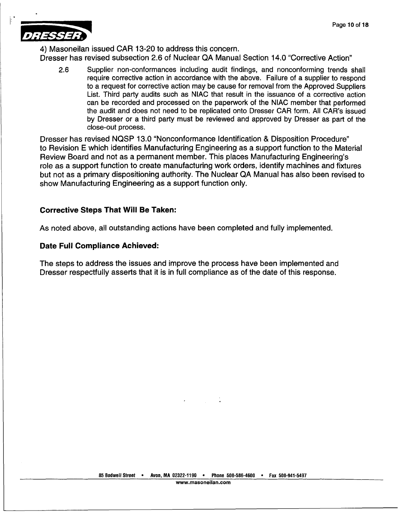

4) Masoneilan issued CAR 13-20 to address this concern. Dresser has revised subsection 2.6 of Nuclear QA Manual Section 14.0 "Corrective Action"

2.6 Supplier non-conformances including audit findings, and nonconforming trends shall require corrective action in accordance with the above. Failure of a supplier to respond to a request for corrective action may be cause for removal from the Approved Suppliers List. Third party audits such as NIAC that result in the issuance of a corrective action can be recorded and processed on the paperwork of the NIAC member that performed the audit and does not need to be replicated onto Dresser CAR form. All CAR's issued by Dresser or a third party must be reviewed and approved by Dresser as part of the close-out process.

Dresser has revised NQSP 13.0 "Nonconformance Identification & Disposition Procedure" to Revision E which identifies Manufacturing Engineering as a support function to the Material Review Board and not as a permanent member. This places Manufacturing Engineering's role as a support function to create manufacturing work orders, identify machines and fixtures but not as a primary dispositioning authority. The Nuclear QA Manual has also been revised to show Manufacturing Engineering as a support function only.

### Corrective Steps That Will Be Taken:

As noted above, all outstanding actions have been completed and fully implemented.

### Date Full Compliance Achieved: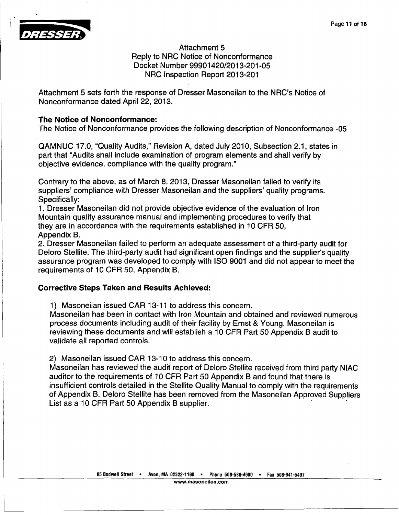

Attachment 5 Reply to NRC Notice of Nonconformance Docket Number 99901420/2013-201-05 NRC Inspection Report 2013-201

Attachment 5 sets forth the response of Dresser Masoneilan to the NRC's Notice of Nonconformanc e dated April 22, 2013.

## The Notice of Nonconformance

The Notice of N onconformance provides the following description of Nonconformance -05

QAMNUC 17.0, "Quality Audits," Revision A, dated July 2010, Subsection 2.1, states in part that "Audits shall include examination of program elements and shall verify by objective eviden ce, compliance with the quality program."

Contrary to the above, as of March 8, 2013, Dresser Masoneilan failed to verify its suppliers' compl iance with Dresser Masoneilan and the suppliers' quality programs. Specifically:

1. Dresser Maso neilan did not provide objective evidence of the evaluation of Iron Mountain quality assurance manual and implementing procedures to verify that modificant quality assurance maintain and implementing procedures to vertice they are in accordance with the requirements established in 10 CFR 50 Appendix B.

2. Dresser Maso neilan failed to perform an adequate assessment of a third-party audit for Deloro Stellite. The third-party audit had significant open findings and the supplier's quality assurance program was developed to comply with ISO 9001 and did not appear to meet the requirements of 10 CFR 50, Appendix B.

# **Corrective Steps Taken and Results Achieved**

1) Masoneilan issued CAR 13-11 to address this concern

Masoneilan has been in contact with Iron Mountain and obtained and reviewed numerou process documents including audit of their facility by Ernst & Young. Masoneilan is processe assuments including data for them racing by Ernet a Toding. Massimilar is<br>reviewing these documents and will establish a 10 CFR Part 50 Appendix B audit t validate all re ported controls.

2) Masoneilan issued CAR 13-10 to address this concern

Ey mascribilian issued of any review of the audit report of Deloro Stellite received from third party NIA auditor to the requirements of 10 CFR Part 50 Appendix B and found that there is insufficient controls detailed in the Stellite Quality Manual to comply with the requirements ntrollect Appendix E. Detailed in the Stellite Quality Manual to comply with the requirements of Appendix B. Deloro Stellite has been removed from the Masoneilan Approved Supplier List as a 10 CFR Part 50 Appendix B supplier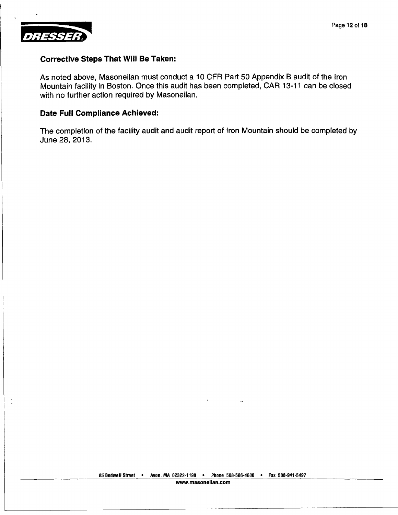

#### Corrective Steps That Will Be Taken:

As noted above, Masoneilan must conduct a 10 CFR Part 50 Appendix B audit of the Iron Mountain facility in Boston. Once this audit has been completed, CAR 13-11 can be closed with no further action required by Masoneilan.

#### Date Full Compliance Achieved:

The completion of the facility audit and audit report of Iron Mountain should be completed by June 28, 2013.

÷.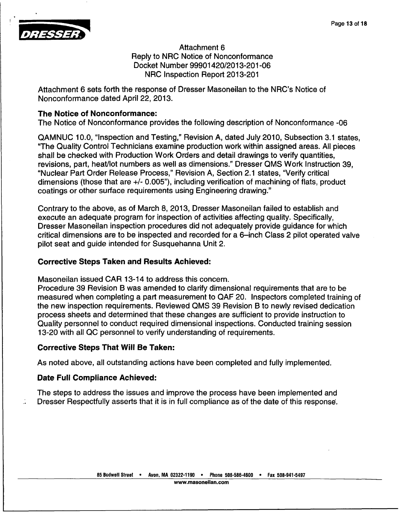

Attachment 6 Reply to NRC Notice of Nonconformance Docket Number 99901420/2013-201-06 NRC Inspection Report 2013-201

Attachment 6 sets forth the response of Dresser Masoneilan to the NRC's Notice of Nonconformance dated April 22, 2013.

### **The Notice of Nonconformance**

The Notice of Nonconformance provides the following description of Nonconformance -06

QAMNUC 10.0, "Inspection and Testing," Revision A, dated July 2010, Subsection 3.1 states "The Quality Control Technicians examine production work within assigned areas. All piece shall be checked with Production Work Orders and detail drawings to verify quantities revisions, part, h eat/lot numbers as well as dimensions." Dresser **QMS** Work Instruction 39, "Nuclear Part Order Release Process," Revision A, Section 2.1 states, "Verify critica dimensions (those that are +/- 0.005"), including verification of machining of flats, produc coatings or other surface requirements using Engineering drawing."

Contrary to the above, as of March 8, 2013, Dresser Masoneilan failed to establish and execute an adequate program for inspection of activities affecting quality. Specifically, execute an adequate program for inspection of activities affecting quality. Specifically,<br>Dresser Masoneilan inspection procedures did not adequately provide guidance for which critical dimensions are to be inspected and recorded for a 6-inch Class 2 pilot operated valve pilot seat and quide intended for Susquehanna Unit 2.

## Corrective Steps Taken and Results Achieved

Masoneilan issued CAR 13-14 to address this concern

Procedure 39 Revision B was amended to clarify dimensional requirements that are to be measured when completing a part measurement to QAF 20. Inspectors completed training of the new inspecti on requirements. Reviewed **QMS** 39 Revision B to newly revised dedication process sheets and determined that these changes are sufficient to provide instruction to Quality personnel to conduct required dimensional inspections. Conducted training session 13-20 with all QC personnel to verify understanding of requirements

## Corrective Step s That Will Be Taken:

As noted above, all outstanding actions have been completed and fully implemented

## Date Full Comp liance Achieved: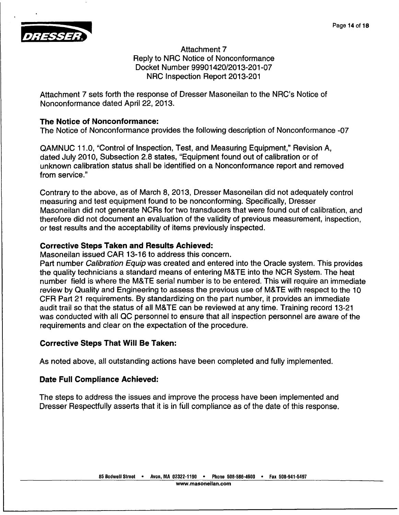

Attachment 7 Reply to NRC Notice of Nonconformance Docket Number 99901420/2013-201-07 NRC Inspection Report 2013-201

Attachment 7 sets forth the response of Dresser Masoneilan to the NRC's Notice of Nonconformanc e dated April 22, 2013.

### **The Notice of Nonconformance**

The Notice of Nonconformance provides the following description of Nonconformance -07

QAMNUC 11.0, "Control of Inspection, Test, and Measuring Equipment," Revision A, dated July 2010, Subsection 2.8 states, "Equipment found out of calibration or of unknown calibration status shall be identified on a Nonconformance report and removed from service."

Contrary to the above, as of March 8, 2013, Dresser Masoneilan did not adequately control measuring and test equipment found to be nonconforming. Specifically, Dresser measuring and teaching present in the contract of the contract of calibration, and Masonellan did not generate NCRs for two transducers that were found out of calibration, and therefore did not document an evaluation of the validity of previous measurement, inspection, or test results and the acceptability of items previously inspected.

# Corrective Step s Taken and Results Achieved:

Masoneilan issu ed CAR 13-16 to address this concern.

**Part number** *Calibration Equip* was created and entered into the Oracle system. This provide the quality technicians a standard means of entering M&TE into the NCR System. The heat number field is where the M&TE serial number is to be entered. This will require an immediate review by Quality and Engineering to assess the previous use of M&TE with respect to the 10 CFR Part 21 req uirements. By standardizing on the part number, it provides an immediate audit trail so that the status of all M&TE can be reviewed at any time. Training record 13-2 was conducted with all QC personnel to ensure that all inspection personnel are aware of the requirements and clear on the expectation of the procedure.

# Corrective Step s That Will Be Taken:

As noted above, all outstanding actions have been completed and fully implemented.

# Date Full Comp liance Achieved: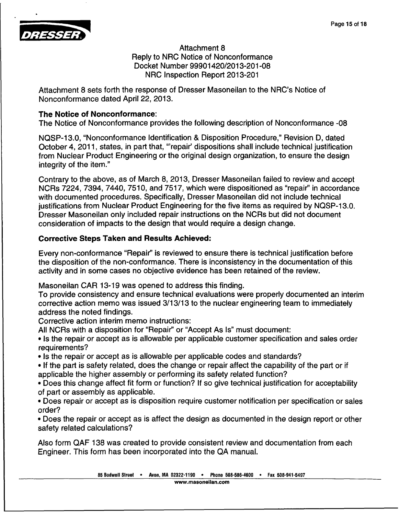

Attachment 8 Reply to NRC Notice of Nonconformance Docket Number 99901420/2013-201-08 NRC Inspection Report 2013-201

Attachment 8 se ts forth the response of Dresser Masoneilan to the NRC's Notice of Nonconformance e dated April 22, 2013.

# **The Notice of Nonconformance**

The Notice of Nonconformance provides the following description of Nonconformance -08

NQSP-13.0, "Nonconformance Identification & Disposition Procedure," Revision D, dated October 4, 2011, states, in part that, "'repair' dispositions shall include technical justification from Nuclear Product Engineering or the original design organization, to ensure the design integrity of the item

Contrary to the above, as of March 8, 2013, Dresser Masoneilan failed to review and accept NCRs 7224, 739 4, 7440, 7510, and 7517, which were dispositioned as "repair' in accordance with documented procedures. Specifically, Dresser Masoneilan did not include technical iustifications from Nuclear Product Engineering for the five items as required by NQSP-13.0 Dresser Masoneilan only included repair instructions on the NCRs but did not document consideration of impacts to the design that would require a design change.

# Corrective Step s Taken and Results Achieved:

Every non-confo rmance "Repair' is reviewed to ensure there is technical justification before the disposition of the non-conformance. There is inconsistency in the documentation of this activity and in so me cases no objective evidence has been retained of the review.

Masoneilan **CAF** 13-19 was opened to address this finding.

To provide consistency and ensure technical evaluations were properly documented an interiment corrective action memo was issued 3/13/13 to the nuclear engineering team to immediately address the note d findings.

**Corrective action interim memo instructions** 

All NCRs with a disposition for "Repair' or "Accept As Is" must document:

**9 Is the repair or accept as is allowable per applicable customer specification and sales order** requirements?

• Is the repair or accept as is allowable per applicable codes and standards?

• Is the repair or accept as is allowable per applicable codes and standards?<br>• If the part is safety related, does the change or repair affect the capability of the part or i applicable the higher assembly or performing its safety related function

**Provided and ingle affect fit form or function?** If so give technical justification for acceptability • Does this change affect fit form or function? If so give technical justification for acceptability of part or asseml **bly** as applicable.

• Does repair or accept as is disposition require customer notification per specification or sales order?

• Does the repair or accept as is affect the design as documented in the design report or othe safety related ca Iculations?

Also form QAF 1 38 was created to provide consistent review and documentation from each Engineer. This form has been incorporated into the OA manual.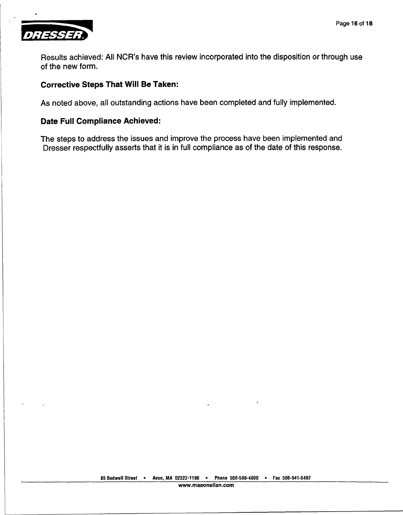

Results achieved: All NCR's have this review incorporated into the disposition or through use of the new form.

#### Corrective Steps That Will Be Taken:

As noted above, all outstanding actions have been completed and fully implemented.

#### Date Full Compliance Achieved:

The steps to address the issues and improve the process have been implemented and Dresser respectfully asserts that it is in full compliance as of the date of this response.

 $\ddot{\phantom{0}}$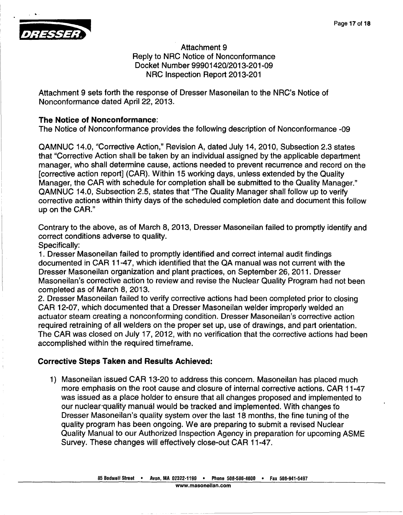

Attachment 9 Reply to NRC Notice of Nonconformance Docket Number 99901420/2013-201-09 NRC Inspection Report 2013-201

Attachment 9 sets forth the response of Dresser Masoneilan to the NRC's Notice of Nonconformance dated April 22, 2013.

#### The Notice of Nonconformance:

The Notice of Nonconformance provides the following description of Nonconformance -09

QAMNUC 14.0, "Corrective Action," Revision A, dated July 14, 2010, Subsection 2.3 states that "Corrective Action shall be taken by an individual assigned by the applicable department manager, who shall determine cause, actions needed to prevent recurrence and record on the [corrective action report] (CAR). Within 15 working days, unless extended by the Quality<br>Manager, the CAR with schedule for completion shall be submitted to the Quality Manager."<br>QAMNUC 14.0, Subsection 2.5, states that "T up on the CAR."

Contrary to the above, as of March 8, 2013, Dresser Masoneilan failed to promptly identify and correct conditions adverse to quality.

Specifically:

1. Dresser Masoneilan failed to promptly identified and correct internal audit findings documented in CAR 11-47, which identified that the QA manual was not current with the Dresser Masoneilan organization and plant practices, on September 26, 2011. Dresser Masoneilan's corrective action to review and revise the Nuclear Quality Program had not been completed as of March 8, 2013.

2. Dresser Masoneilan failed to verify corrective actions had been completed prior to closing CAR 12-07, which documented that a Dresser Masoneilan welder improperly welded an actuator steam creating a nonconforming condition. Dresser Masoneilan's corrective action required retraining of all welders on the proper set up, use of drawings, and part orientation. The CAR was closed on July 17, 2012, with no verification that the corrective actions had been accomplished within the required timeframe.

### Corrective Steps Taken and Results Achieved:

1) Masoneilan issued CAR 13-20 to address this concern. Masoneilan has placed much more emphasis on the root cause and closure of internal corrective actions. CAR 11-47 was issued as a place holder to ensure that all changes proposed and implemented to our nuclear-quality manual would be tracked and implemented. With changes to Dresser Masoneilan's quality system over the last 18 months, the fine tuning of the quality program has been ongoing. We are preparing to submit a revised Nuclear Quality Manual to our Authorized Inspection Agency in preparation for upcoming ASME Survey. These changes will effectively close-out CAR 11-47.